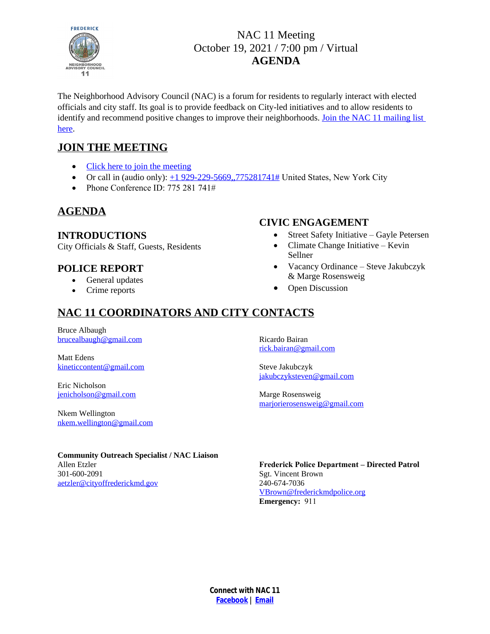

# NAC 11 Meeting October 19, 2021 / 7:00 pm / Virtual **AGENDA**

The Neighborhood Advisory Council (NAC) is a forum for residents to regularly interact with elected officials and city staff. Its goal is to provide feedback on City-led initiatives and to allow residents to identify and recommend positive changes to improve their neighborhoods. [Join the NAC 11 mailing list](http://eepurl.com/gzLmgL)  here.

## **JOIN THE MEETING**

- [Click here to join the meeting](https://teams.microsoft.com/l/meetup-join/19%3ameeting_ZTM3MzQyMzEtMTE3MC00YmIxLTk4Y2UtZTkyMjdiZjY0MzNi%40thread.v2/0?context=%7b%22Tid%22%3a%22c379f855-0dee-4b09-9f89-0cee3aa7f761%22%2c%22Oid%22%3a%222e18ba48-71cb-4d8f-ba7f-596ef51931b3%22%7d)
- Or call in (audio only):  $\pm 1$  929-229-5669,,775281741# [United States, New York City](tel:+19292295669,,775281741)
- Phone Conference ID:  $775\,281\,741\#$

### **[AGENDA](tel:+19292295669,,775281741)**

#### **[INTRODUCTIONS](tel:+19292295669,,775281741)**

[City Officials & Staff, Guests, Residents](tel:+19292295669,,775281741)

#### **[POLICE REPORT](tel:+19292295669,,775281741)**

- [General updates](tel:+19292295669,,775281741)
- [Crime reports](tel:+19292295669,,775281741)

#### **[CIVIC ENGAGEMENT](tel:+19292295669,,775281741)**

- [Street Safety Initiative](tel:+19292295669,,775281741)  Gayle Petersen
- [Climate Change Initiative](tel:+19292295669,,775281741)  Kevin [Sellner](tel:+19292295669,,775281741)
- [Vacancy Ordinance](tel:+19292295669,,775281741)  Steve Jakubczyk [& Marge Rosensweig](tel:+19292295669,,775281741)
- [Open Discussion](tel:+19292295669,,775281741)

# **[NAC 11 COORDINATORS AND CITY CONTACTS](tel:+19292295669,,775281741)**

[Bruce Albaugh](tel:+19292295669,,775281741) [brucealbaugh@gmail.com](mailto:brucealbaugh@gmail.com)

Matt Edens [kineticcontent@gmail.com](mailto:kineticcontent@gmail.com)

Eric Nicholson [jenicholson@gmail.com](mailto:jenicholson@gmail.com)

Nkem Wellington [nkem.wellington@gmail.com](mailto:nkem.wellington@gmail.com)

Ricardo Bairan [rick.bairan@gmail.com](mailto:rick.bairan@gmail.com)

Steve Jakubczyk [jakubczyksteven@gmail.com](mailto:jakubczyksteven@gmail.com)

Marge Rosensweig [marjorierosensweig@gmail.com](mailto:marjorierosensweig@gmail.com)

**Community Outreach Specialist / NAC Liaison**  Allen Etzler 301-600-2091 [aetzler@cityoffrederickmd.gov](mailto:aetzler@cityoffrederickmd.gov)

**Frederick Police Department – Directed Patrol** Sgt. Vincent Brown 240-674-7036 VBrown@frederickmdpolice.org **Emergency:** 911